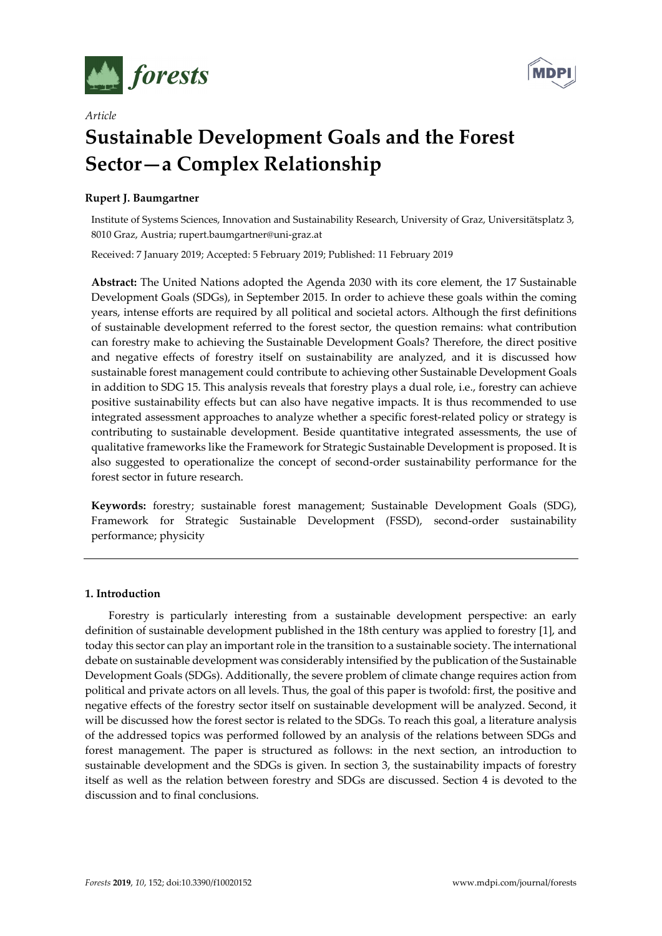

*Article*



# **Sustainable Development Goals and the Forest Sector—a Complex Relationship**

# **Rupert J. Baumgartner**

Institute of Systems Sciences, Innovation and Sustainability Research, University of Graz, Universitätsplatz 3, 8010 Graz, Austria; rupert.baumgartner@uni-graz.at

Received: 7 January 2019; Accepted: 5 February 2019; Published: 11 February 2019

**Abstract:** The United Nations adopted the Agenda 2030 with its core element, the 17 Sustainable Development Goals (SDGs), in September 2015. In order to achieve these goals within the coming years, intense efforts are required by all political and societal actors. Although the first definitions of sustainable development referred to the forest sector, the question remains: what contribution can forestry make to achieving the Sustainable Development Goals? Therefore, the direct positive and negative effects of forestry itself on sustainability are analyzed, and it is discussed how sustainable forest management could contribute to achieving other Sustainable Development Goals in addition to SDG 15. This analysis reveals that forestry plays a dual role, i.e., forestry can achieve positive sustainability effects but can also have negative impacts. It is thus recommended to use integrated assessment approaches to analyze whether a specific forest-related policy or strategy is contributing to sustainable development. Beside quantitative integrated assessments, the use of qualitative frameworks like the Framework for Strategic Sustainable Development is proposed. It is also suggested to operationalize the concept of second-order sustainability performance for the forest sector in future research.

**Keywords:** forestry; sustainable forest management; Sustainable Development Goals (SDG), Framework for Strategic Sustainable Development (FSSD), second-order sustainability performance; physicity

## **1. Introduction**

Forestry is particularly interesting from a sustainable development perspective: an early definition of sustainable development published in the 18th century was applied to forestry [1], and today this sector can play an important role in the transition to a sustainable society. The international debate on sustainable development was considerably intensified by the publication of the Sustainable Development Goals (SDGs). Additionally, the severe problem of climate change requires action from political and private actors on all levels. Thus, the goal of this paper is twofold: first, the positive and negative effects of the forestry sector itself on sustainable development will be analyzed. Second, it will be discussed how the forest sector is related to the SDGs. To reach this goal, a literature analysis of the addressed topics was performed followed by an analysis of the relations between SDGs and forest management. The paper is structured as follows: in the next section, an introduction to sustainable development and the SDGs is given. In section 3, the sustainability impacts of forestry itself as well as the relation between forestry and SDGs are discussed. Section 4 is devoted to the discussion and to final conclusions.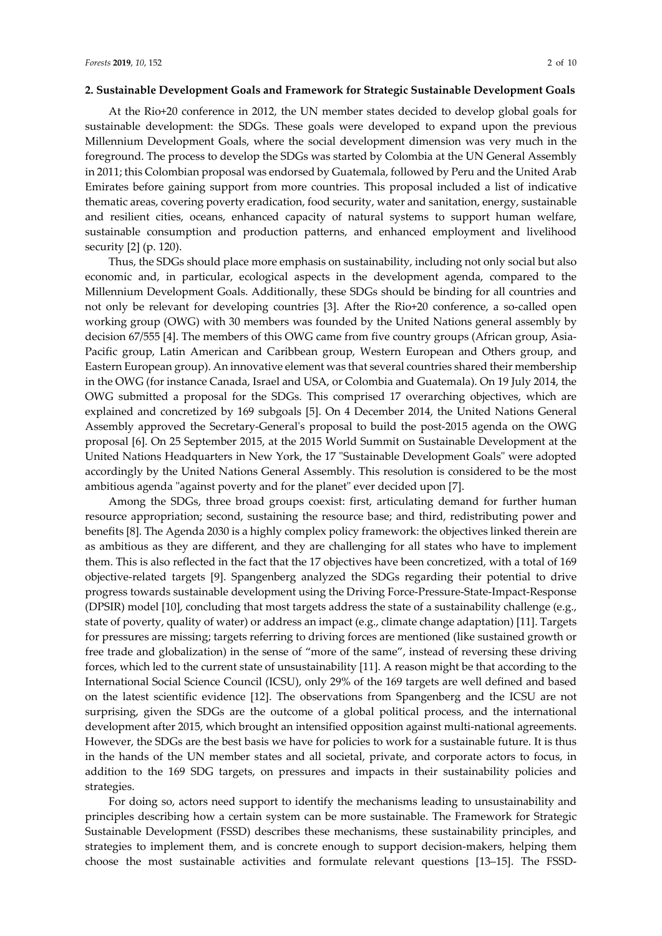#### **2. Sustainable Development Goals and Framework for Strategic Sustainable Development Goals**

At the Rio+20 conference in 2012, the UN member states decided to develop global goals for sustainable development: the SDGs. These goals were developed to expand upon the previous Millennium Development Goals, where the social development dimension was very much in the foreground. The process to develop the SDGs was started by Colombia at the UN General Assembly in 2011; this Colombian proposal was endorsed by Guatemala, followed by Peru and the United Arab Emirates before gaining support from more countries. This proposal included a list of indicative thematic areas, covering poverty eradication, food security, water and sanitation, energy, sustainable and resilient cities, oceans, enhanced capacity of natural systems to support human welfare, sustainable consumption and production patterns, and enhanced employment and livelihood security [2] (p. 120).

Thus, the SDGs should place more emphasis on sustainability, including not only social but also economic and, in particular, ecological aspects in the development agenda, compared to the Millennium Development Goals. Additionally, these SDGs should be binding for all countries and not only be relevant for developing countries [3]. After the Rio+20 conference, a so-called open working group (OWG) with 30 members was founded by the United Nations general assembly by decision 67/555 [4]. The members of this OWG came from five country groups (African group, Asia-Pacific group, Latin American and Caribbean group, Western European and Others group, and Eastern European group). An innovative element was that several countries shared their membership in the OWG (for instance Canada, Israel and USA, or Colombia and Guatemala). On 19 July 2014, the OWG submitted a proposal for the SDGs. This comprised 17 overarching objectives, which are explained and concretized by 169 subgoals [5]. On 4 December 2014, the United Nations General Assembly approved the Secretary-General's proposal to build the post-2015 agenda on the OWG proposal [6]. On 25 September 2015, at the 2015 World Summit on Sustainable Development at the United Nations Headquarters in New York, the 17 "Sustainable Development Goals" were adopted accordingly by the United Nations General Assembly. This resolution is considered to be the most ambitious agenda "against poverty and for the planet" ever decided upon [7].

Among the SDGs, three broad groups coexist: first, articulating demand for further human resource appropriation; second, sustaining the resource base; and third, redistributing power and benefits [8]. The Agenda 2030 is a highly complex policy framework: the objectives linked therein are as ambitious as they are different, and they are challenging for all states who have to implement them. This is also reflected in the fact that the 17 objectives have been concretized, with a total of 169 objective-related targets [9]. Spangenberg analyzed the SDGs regarding their potential to drive progress towards sustainable development using the Driving Force-Pressure-State-Impact-Response (DPSIR) model [10], concluding that most targets address the state of a sustainability challenge (e.g., state of poverty, quality of water) or address an impact (e.g., climate change adaptation) [11]. Targets for pressures are missing; targets referring to driving forces are mentioned (like sustained growth or free trade and globalization) in the sense of "more of the same", instead of reversing these driving forces, which led to the current state of unsustainability [11]. A reason might be that according to the International Social Science Council (ICSU), only 29% of the 169 targets are well defined and based on the latest scientific evidence [12]. The observations from Spangenberg and the ICSU are not surprising, given the SDGs are the outcome of a global political process, and the international development after 2015, which brought an intensified opposition against multi-national agreements. However, the SDGs are the best basis we have for policies to work for a sustainable future. It is thus in the hands of the UN member states and all societal, private, and corporate actors to focus, in addition to the 169 SDG targets, on pressures and impacts in their sustainability policies and strategies.

For doing so, actors need support to identify the mechanisms leading to unsustainability and principles describing how a certain system can be more sustainable. The Framework for Strategic Sustainable Development (FSSD) describes these mechanisms, these sustainability principles, and strategies to implement them, and is concrete enough to support decision-makers, helping them choose the most sustainable activities and formulate relevant questions [13–15]. The FSSD-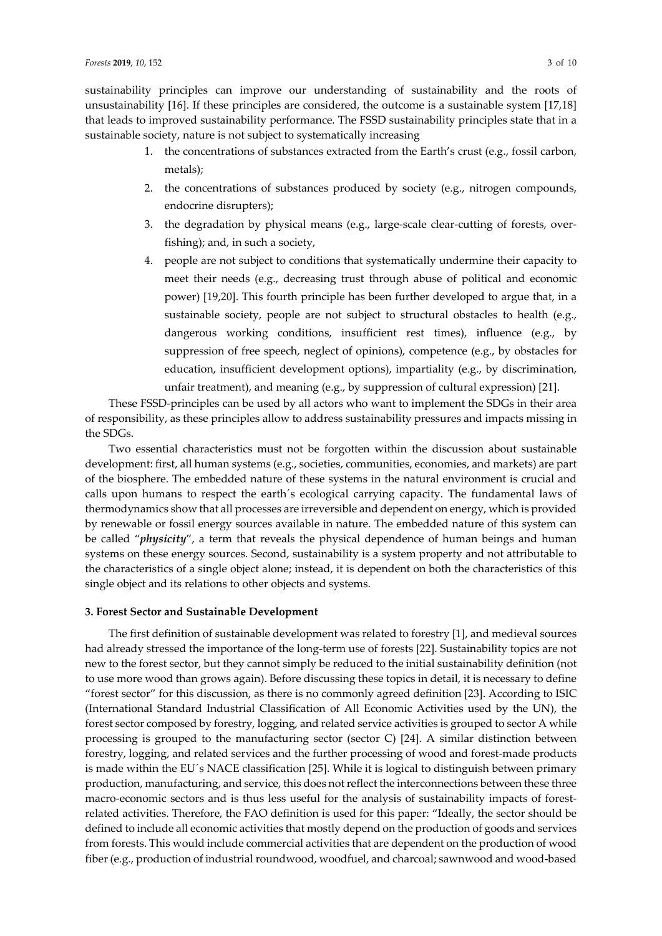sustainability principles can improve our understanding of sustainability and the roots of unsustainability [16]. If these principles are considered, the outcome is a sustainable system [17,18] that leads to improved sustainability performance. The FSSD sustainability principles state that in a sustainable society, nature is not subject to systematically increasing

- 1. the concentrations of substances extracted from the Earth's crust (e.g., fossil carbon, metals);
- 2. the concentrations of substances produced by society (e.g., nitrogen compounds, endocrine disrupters);
- 3. the degradation by physical means (e.g., large-scale clear-cutting of forests, overfishing); and, in such a society,
- 4. people are not subject to conditions that systematically undermine their capacity to meet their needs (e.g., decreasing trust through abuse of political and economic power) [19,20]. This fourth principle has been further developed to argue that, in a sustainable society, people are not subject to structural obstacles to health (e.g., dangerous working conditions, insufficient rest times), influence (e.g., by suppression of free speech, neglect of opinions), competence (e.g., by obstacles for education, insufficient development options), impartiality (e.g., by discrimination, unfair treatment), and meaning (e.g., by suppression of cultural expression) [21].

These FSSD-principles can be used by all actors who want to implement the SDGs in their area of responsibility, as these principles allow to address sustainability pressures and impacts missing in the SDGs.

Two essential characteristics must not be forgotten within the discussion about sustainable development: first, all human systems (e.g., societies, communities, economies, and markets) are part of the biosphere. The embedded nature of these systems in the natural environment is crucial and calls upon humans to respect the earth´s ecological carrying capacity. The fundamental laws of thermodynamics show that all processes are irreversible and dependent on energy, which is provided by renewable or fossil energy sources available in nature. The embedded nature of this system can be called "*physicity*", a term that reveals the physical dependence of human beings and human systems on these energy sources. Second, sustainability is a system property and not attributable to the characteristics of a single object alone; instead, it is dependent on both the characteristics of this single object and its relations to other objects and systems.

### **3. Forest Sector and Sustainable Development**

The first definition of sustainable development was related to forestry [1], and medieval sources had already stressed the importance of the long-term use of forests [22]. Sustainability topics are not new to the forest sector, but they cannot simply be reduced to the initial sustainability definition (not to use more wood than grows again). Before discussing these topics in detail, it is necessary to define "forest sector" for this discussion, as there is no commonly agreed definition [23]. According to ISIC (International Standard Industrial Classification of All Economic Activities used by the UN), the forest sector composed by forestry, logging, and related service activities is grouped to sector A while processing is grouped to the manufacturing sector (sector C) [24]. A similar distinction between forestry, logging, and related services and the further processing of wood and forest-made products is made within the EU´s NACE classification [25]. While it is logical to distinguish between primary production, manufacturing, and service, this does notreflect the interconnections between these three macro-economic sectors and is thus less useful for the analysis of sustainability impacts of forestrelated activities. Therefore, the FAO definition is used for this paper: "Ideally, the sector should be defined to include all economic activities that mostly depend on the production of goods and services from forests. This would include commercial activities that are dependent on the production of wood fiber(e.g., production of industrial roundwood, woodfuel, and charcoal; sawnwood and wood-based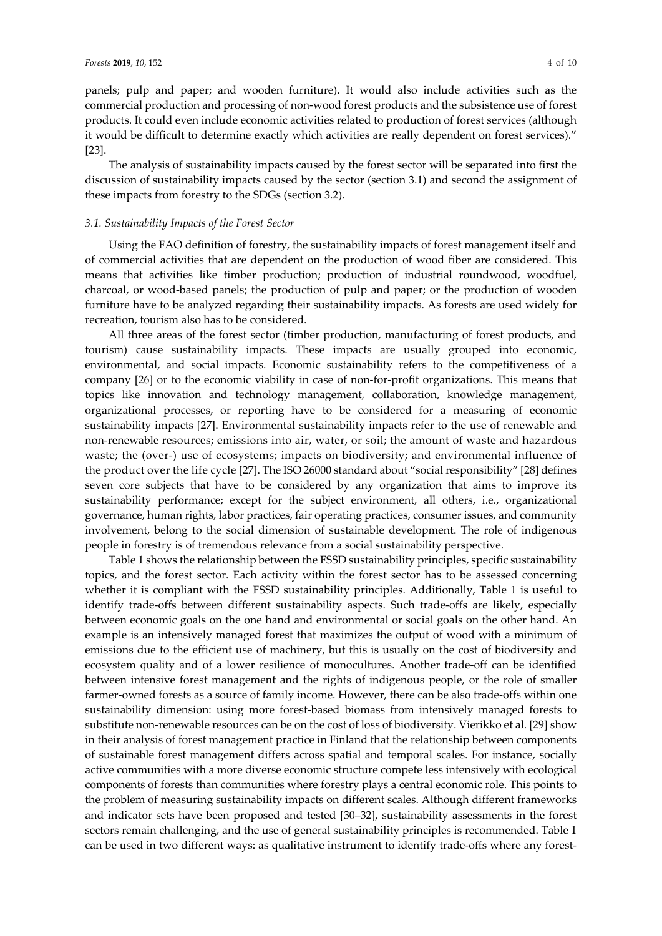panels; pulp and paper; and wooden furniture). It would also include activities such as the commercial production and processing of non-wood forest products and the subsistence use of forest products. It could even include economic activities related to production of forest services (although it would be difficult to determine exactly which activities are really dependent on forest services)." [23].

The analysis of sustainability impacts caused by the forest sector will be separated into first the discussion of sustainability impacts caused by the sector (section 3.1) and second the assignment of these impacts from forestry to the SDGs (section 3.2).

## *3.1. Sustainability Impacts of the Forest Sector*

Using the FAO definition of forestry, the sustainability impacts of forest management itself and of commercial activities that are dependent on the production of wood fiber are considered. This means that activities like timber production; production of industrial roundwood, woodfuel, charcoal, or wood-based panels; the production of pulp and paper; or the production of wooden furniture have to be analyzed regarding their sustainability impacts. As forests are used widely for recreation, tourism also has to be considered.

All three areas of the forest sector (timber production, manufacturing of forest products, and tourism) cause sustainability impacts. These impacts are usually grouped into economic, environmental, and social impacts. Economic sustainability refers to the competitiveness of a company [26] or to the economic viability in case of non-for-profit organizations. This means that topics like innovation and technology management, collaboration, knowledge management, organizational processes, or reporting have to be considered for a measuring of economic sustainability impacts [27]. Environmental sustainability impacts refer to the use of renewable and non-renewable resources; emissions into air, water, or soil; the amount of waste and hazardous waste; the (over-) use of ecosystems; impacts on biodiversity; and environmental influence of the product over the life cycle [27]. The ISO 26000 standard about "social responsibility" [28] defines seven core subjects that have to be considered by any organization that aims to improve its sustainability performance; except for the subject environment, all others, i.e., organizational governance, human rights, labor practices, fair operating practices, consumer issues, and community involvement, belong to the social dimension of sustainable development. The role of indigenous people in forestry is of tremendous relevance from a social sustainability perspective.

Table 1 shows the relationship between the FSSD sustainability principles, specific sustainability topics, and the forest sector. Each activity within the forest sector has to be assessed concerning whether it is compliant with the FSSD sustainability principles. Additionally, Table 1 is useful to identify trade-offs between different sustainability aspects. Such trade-offs are likely, especially between economic goals on the one hand and environmental or social goals on the other hand. An example is an intensively managed forest that maximizes the output of wood with a minimum of emissions due to the efficient use of machinery, but this is usually on the cost of biodiversity and ecosystem quality and of a lower resilience of monocultures. Another trade-off can be identified between intensive forest management and the rights of indigenous people, or the role of smaller farmer-owned forests as a source of family income. However, there can be also trade-offs within one sustainability dimension: using more forest-based biomass from intensively managed forests to substitute non-renewable resources can be on the cost of loss of biodiversity. Vierikko et al. [29] show in their analysis of forest management practice in Finland that the relationship between components of sustainable forest management differs across spatial and temporal scales. For instance, socially active communities with a more diverse economic structure compete less intensively with ecological components of forests than communities where forestry plays a central economic role. This points to the problem of measuring sustainability impacts on different scales. Although different frameworks and indicator sets have been proposed and tested [30–32], sustainability assessments in the forest sectors remain challenging, and the use of general sustainability principles is recommended. Table 1 can be used in two different ways: as qualitative instrument to identify trade-offs where any forest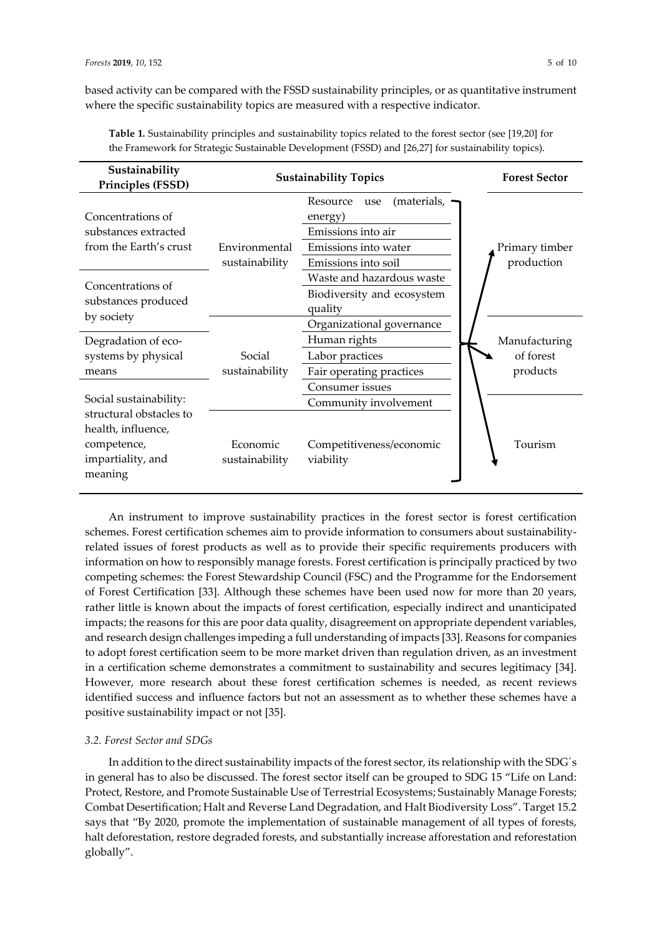based activity can be compared with the FSSD sustainability principles, or as quantitative instrument where the specific sustainability topics are measured with a respective indicator.

| Sustainability<br>Principles (FSSD)                                                                                    | <b>Sustainability Topics</b>    |                                                                                                                                             | <b>Forest Sector</b>                   |
|------------------------------------------------------------------------------------------------------------------------|---------------------------------|---------------------------------------------------------------------------------------------------------------------------------------------|----------------------------------------|
| Concentrations of<br>substances extracted<br>from the Earth's crust<br>Concentrations of                               | Environmental<br>sustainability | (materials,<br>Resource<br>use<br>energy)<br>Emissions into air<br>Emissions into water<br>Emissions into soil<br>Waste and hazardous waste | Primary timber<br>production           |
| substances produced<br>by society                                                                                      |                                 | Biodiversity and ecosystem<br>quality                                                                                                       |                                        |
| Degradation of eco-<br>systems by physical<br>means                                                                    | Social<br>sustainability        | Organizational governance<br>Human rights<br>Labor practices<br>Fair operating practices                                                    | Manufacturing<br>of forest<br>products |
| Social sustainability:<br>structural obstacles to<br>health, influence,<br>competence,<br>impartiality, and<br>meaning |                                 | Consumer issues<br>Community involvement                                                                                                    |                                        |
|                                                                                                                        | Economic<br>sustainability      | Competitiveness/economic<br>viability                                                                                                       | Tourism                                |

**Table 1.** Sustainability principles and sustainability topics related to the forest sector (see [19,20] for the Framework for Strategic Sustainable Development (FSSD) and [26,27] for sustainability topics).

An instrument to improve sustainability practices in the forest sector is forest certification schemes. Forest certification schemes aim to provide information to consumers about sustainabilityrelated issues of forest products as well as to provide their specific requirements producers with information on how to responsibly manage forests. Forest certification is principally practiced by two competing schemes: the Forest Stewardship Council (FSC) and the Programme for the Endorsement of Forest Certification [33]. Although these schemes have been used now for more than 20 years, rather little is known about the impacts of forest certification, especially indirect and unanticipated impacts; the reasons for this are poor data quality, disagreement on appropriate dependent variables, and research design challenges impeding a full understanding of impacts [33]. Reasons for companies to adopt forest certification seem to be more market driven than regulation driven, as an investment in a certification scheme demonstrates a commitment to sustainability and secures legitimacy [34]. However, more research about these forest certification schemes is needed, as recent reviews identified success and influence factors but not an assessment as to whether these schemes have a positive sustainability impact or not [35].

## *3.2. Forest Sector and SDGs*

In addition to the direct sustainability impacts of the forest sector, its relationship with the SDG´s in general has to also be discussed. The forest sector itself can be grouped to SDG 15 "Life on Land: Protect, Restore, and Promote Sustainable Use of Terrestrial Ecosystems; Sustainably Manage Forests; Combat Desertification; Halt and Reverse Land Degradation, and Halt Biodiversity Loss". Target 15.2 says that "By 2020, promote the implementation of sustainable management of all types of forests, halt deforestation, restore degraded forests, and substantially increase afforestation and reforestation globally".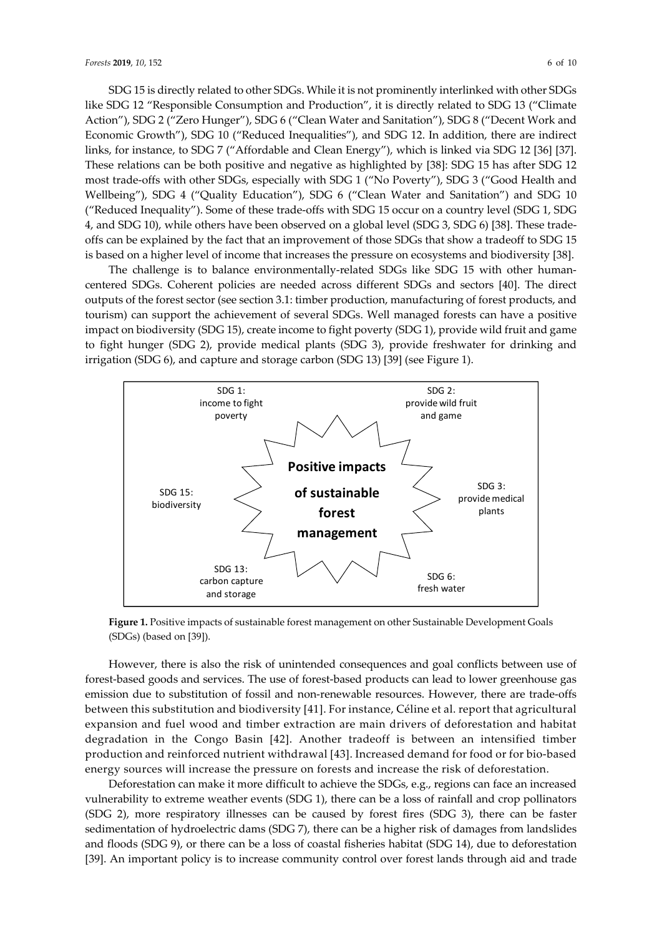SDG 15 is directly related to other SDGs. While it is not prominently interlinked with other SDGs like SDG 12 "Responsible Consumption and Production", it is directly related to SDG 13 ("Climate Action"), SDG 2 ("Zero Hunger"), SDG 6 ("Clean Water and Sanitation"), SDG 8 ("Decent Work and Economic Growth"), SDG 10 ("Reduced Inequalities"), and SDG 12. In addition, there are indirect links, for instance, to SDG 7 ("Affordable and Clean Energy"), which is linked via SDG 12 [36] [37]. These relations can be both positive and negative as highlighted by [38]: SDG 15 has after SDG 12 most trade-offs with other SDGs, especially with SDG 1 ("No Poverty"), SDG 3 ("Good Health and Wellbeing"), SDG 4 ("Quality Education"), SDG 6 ("Clean Water and Sanitation") and SDG 10 ("Reduced Inequality"). Some of these trade-offs with SDG 15 occur on a country level (SDG 1, SDG 4, and SDG 10), while others have been observed on a global level (SDG 3, SDG 6) [38]. These tradeoffs can be explained by the fact that an improvement of those SDGs that show a tradeoff to SDG 15 is based on a higher level of income that increases the pressure on ecosystems and biodiversity [38].

The challenge is to balance environmentally-related SDGs like SDG 15 with other humancentered SDGs. Coherent policies are needed across different SDGs and sectors [40]. The direct outputs of the forest sector (see section 3.1: timber production, manufacturing of forest products, and tourism) can support the achievement of several SDGs. Well managed forests can have a positive impact on biodiversity (SDG 15), create income to fight poverty (SDG 1), provide wild fruit and game to fight hunger (SDG 2), provide medical plants (SDG 3), provide freshwater for drinking and irrigation (SDG 6), and capture and storage carbon (SDG 13) [39] (see Figure 1).



**Figure 1.** Positive impacts of sustainable forest management on other Sustainable Development Goals (SDGs) (based on [39]).

However, there is also the risk of unintended consequences and goal conflicts between use of forest-based goods and services. The use of forest-based products can lead to lower greenhouse gas emission due to substitution of fossil and non-renewable resources. However, there are trade-offs between this substitution and biodiversity [41]. For instance, Céline et al. report that agricultural expansion and fuel wood and timber extraction are main drivers of deforestation and habitat degradation in the Congo Basin [42]. Another tradeoff is between an intensified timber production and reinforced nutrient withdrawal [43]. Increased demand for food or for bio-based energy sources will increase the pressure on forests and increase the risk of deforestation.

Deforestation can make it more difficult to achieve the SDGs, e.g., regions can face an increased vulnerability to extreme weather events (SDG 1), there can be a loss of rainfall and crop pollinators (SDG 2), more respiratory illnesses can be caused by forest fires (SDG 3), there can be faster sedimentation of hydroelectric dams (SDG 7), there can be a higher risk of damages from landslides and floods (SDG 9), or there can be a loss of coastal fisheries habitat (SDG 14), due to deforestation [39]. An important policy is to increase community control over forest lands through aid and trade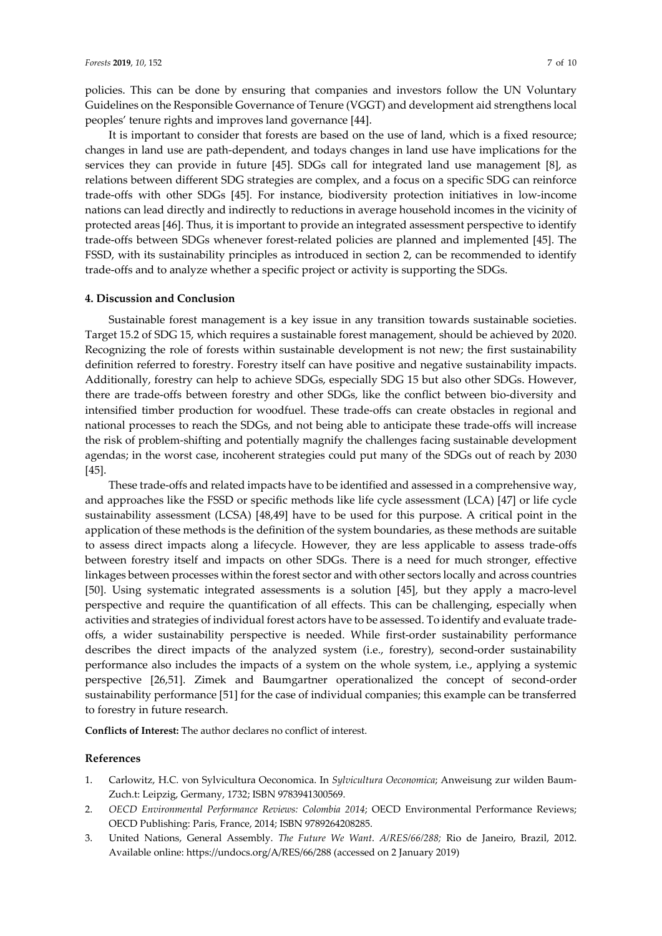policies. This can be done by ensuring that companies and investors follow the UN Voluntary Guidelines on the Responsible Governance of Tenure (VGGT) and development aid strengthens local peoples' tenure rights and improves land governance [44].

It is important to consider that forests are based on the use of land, which is a fixed resource; changes in land use are path-dependent, and todays changes in land use have implications for the services they can provide in future [45]. SDGs call for integrated land use management [8], as relations between different SDG strategies are complex, and a focus on a specific SDG can reinforce trade-offs with other SDGs [45]. For instance, biodiversity protection initiatives in low-income nations can lead directly and indirectly to reductions in average household incomes in the vicinity of protected areas [46]. Thus, it is important to provide an integrated assessment perspective to identify trade-offs between SDGs whenever forest-related policies are planned and implemented [45]. The FSSD, with its sustainability principles as introduced in section 2, can be recommended to identify trade-offs and to analyze whether a specific project or activity is supporting the SDGs.

### **4. Discussion and Conclusion**

Sustainable forest management is a key issue in any transition towards sustainable societies. Target 15.2 of SDG 15, which requires a sustainable forest management, should be achieved by 2020. Recognizing the role of forests within sustainable development is not new; the first sustainability definition referred to forestry. Forestry itself can have positive and negative sustainability impacts. Additionally, forestry can help to achieve SDGs, especially SDG 15 but also other SDGs. However, there are trade-offs between forestry and other SDGs, like the conflict between bio-diversity and intensified timber production for woodfuel. These trade-offs can create obstacles in regional and national processes to reach the SDGs, and not being able to anticipate these trade-offs will increase the risk of problem-shifting and potentially magnify the challenges facing sustainable development agendas; in the worst case, incoherent strategies could put many of the SDGs out of reach by 2030 [45].

These trade-offs and related impacts have to be identified and assessed in a comprehensive way, and approaches like the FSSD or specific methods like life cycle assessment (LCA) [47] or life cycle sustainability assessment (LCSA) [48,49] have to be used for this purpose. A critical point in the application of these methods is the definition of the system boundaries, as these methods are suitable to assess direct impacts along a lifecycle. However, they are less applicable to assess trade-offs between forestry itself and impacts on other SDGs. There is a need for much stronger, effective linkages between processes within the forest sector and with other sectors locally and across countries [50]. Using systematic integrated assessments is a solution [45], but they apply a macro-level perspective and require the quantification of all effects. This can be challenging, especially when activities and strategies of individual forest actors have to be assessed. To identify and evaluate tradeoffs, a wider sustainability perspective is needed. While first-order sustainability performance describes the direct impacts of the analyzed system (i.e., forestry), second-order sustainability performance also includes the impacts of a system on the whole system, i.e., applying a systemic perspective [26,51]. Zimek and Baumgartner operationalized the concept of second-order sustainability performance [51] for the case of individual companies; this example can be transferred to forestry in future research.

**Conflicts of Interest:** The author declares no conflict of interest.

#### **References**

- 1. Carlowitz, H.C. von Sylvicultura Oeconomica. In *Sylvicultura Oeconomica*; Anweisung zur wilden Baum-Zuch.t: Leipzig, Germany, 1732; ISBN 9783941300569.
- 2. *OECD Environmental Performance Reviews: Colombia 2014*; OECD Environmental Performance Reviews; OECD Publishing: Paris, France, 2014; ISBN 9789264208285.
- 3. United Nations, General Assembly. *The Future We Want*. *A/RES/66/288;* Rio de Janeiro, Brazil, 2012. Available online: https://undocs.org/A/RES/66/288 (accessed on 2 January 2019)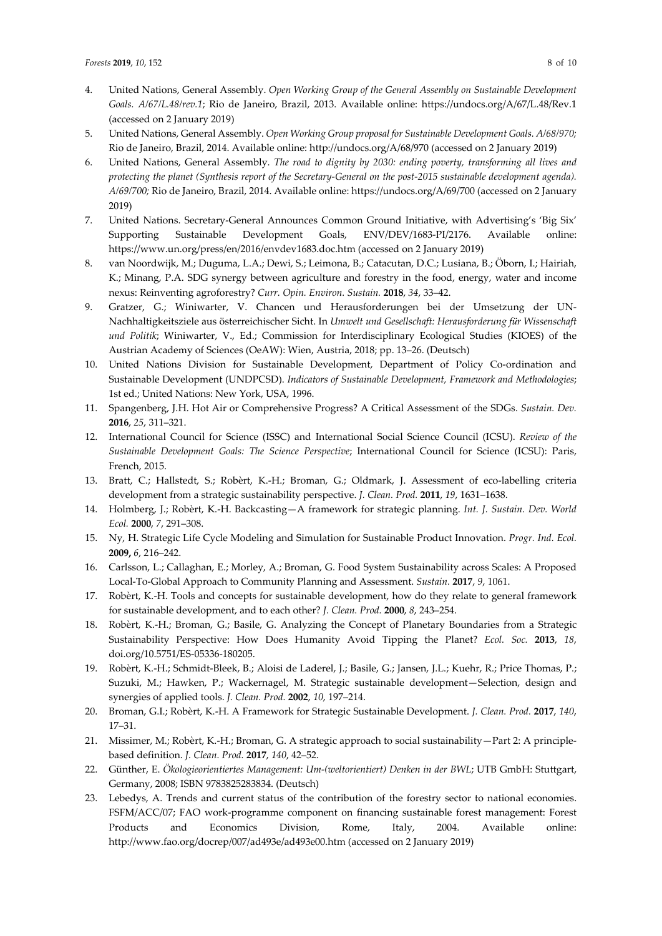- 4. United Nations, General Assembly. *Open Working Group of the General Assembly on Sustainable Development Goals. A/67/L.48/rev.1*; Rio de Janeiro, Brazil, 2013. Available online: https://undocs.org/A/67/L.48/Rev.1 (accessed on 2 January 2019)
- 5. United Nations, General Assembly. *Open Working Group proposal for Sustainable Development Goals. A/68/970;*  Rio de Janeiro, Brazil, 2014. Available online: http://undocs.org/A/68/970 (accessed on 2 January 2019)
- 6. United Nations, General Assembly. *The road to dignity by 2030: ending poverty, transforming all lives and protecting the planet (Synthesis report of the Secretary-General on the post-2015 sustainable development agenda). A/69/700;* Rio de Janeiro, Brazil, 2014. Available online: https://undocs.org/A/69/700 (accessed on 2 January 2019)
- 7. United Nations. Secretary-General Announces Common Ground Initiative, with Advertising's 'Big Six' Supporting Sustainable Development Goals, ENV/DEV/1683-PI/2176. Available online: https://www.un.org/press/en/2016/envdev1683.doc.htm (accessed on 2 January 2019)
- 8. van Noordwijk, M.; Duguma, L.A.; Dewi, S.; Leimona, B.; Catacutan, D.C.; Lusiana, B.; Öborn, I.; Hairiah, K.; Minang, P.A. SDG synergy between agriculture and forestry in the food, energy, water and income nexus: Reinventing agroforestry? *Curr. Opin. Environ. Sustain.* **2018**, *34*, 33–42.
- 9. Gratzer, G.; Winiwarter, V. Chancen und Herausforderungen bei der Umsetzung der UN-Nachhaltigkeitsziele aus österreichischer Sicht. In *Umwelt und Gesellschaft: Herausforderung für Wissenschaft und Politik*; Winiwarter, V., Ed.; Commission for Interdisciplinary Ecological Studies (KIOES) of the Austrian Academy of Sciences (OeAW): Wien, Austria, 2018; pp. 13–26. (Deutsch)
- 10. United Nations Division for Sustainable Development, Department of Policy Co-ordination and Sustainable Development (UNDPCSD). *Indicators of Sustainable Development, Framework and Methodologies*; 1st ed.; United Nations: New York, USA, 1996.
- 11. Spangenberg, J.H. Hot Air or Comprehensive Progress? A Critical Assessment of the SDGs. *Sustain. Dev.* **2016**, *25*, 311–321.
- 12. International Council for Science (ISSC) and International Social Science Council (ICSU). *Review of the Sustainable Development Goals: The Science Perspective*; International Council for Science (ICSU): Paris, French, 2015.
- 13. Bratt, C.; Hallstedt, S.; Robèrt, K.-H.; Broman, G.; Oldmark, J. Assessment of eco-labelling criteria development from a strategic sustainability perspective. *J. Clean. Prod.* **2011**, *19*, 1631–1638.
- 14. Holmberg, J.; Robèrt, K.-H. Backcasting—A framework for strategic planning. *Int. J. Sustain. Dev. World Ecol.* **2000**, *7*, 291–308.
- 15. Ny, H. Strategic Life Cycle Modeling and Simulation for Sustainable Product Innovation. *Progr. Ind. Ecol.*  **2009,** *6*, 216–242.
- 16. Carlsson, L.; Callaghan, E.; Morley, A.; Broman, G. Food System Sustainability across Scales: A Proposed Local-To-Global Approach to Community Planning and Assessment. *Sustain.* **2017**, *9*, 1061.
- 17. Robèrt, K.-H. Tools and concepts for sustainable development, how do they relate to general framework for sustainable development, and to each other? *J. Clean. Prod.* **2000**, *8*, 243–254.
- 18. Robèrt, K.-H.; Broman, G.; Basile, G. Analyzing the Concept of Planetary Boundaries from a Strategic Sustainability Perspective: How Does Humanity Avoid Tipping the Planet? *Ecol. Soc.* **2013**, *18*, doi.org/10.5751/ES-05336-180205.
- 19. Robèrt, K.-H.; Schmidt-Bleek, B.; Aloisi de Laderel, J.; Basile, G.; Jansen, J.L.; Kuehr, R.; Price Thomas, P.; Suzuki, M.; Hawken, P.; Wackernagel, M. Strategic sustainable development—Selection, design and synergies of applied tools. *J. Clean. Prod.* **2002**, *10*, 197–214.
- 20. Broman, G.I.; Robèrt, K.-H. A Framework for Strategic Sustainable Development. *J. Clean. Prod.* **2017**, *140*, 17–31.
- 21. Missimer, M.; Robèrt, K.-H.; Broman, G. A strategic approach to social sustainability—Part 2: A principlebased definition. *J. Clean. Prod.* **2017**, *140*, 42–52.
- 22. Günther, E. *Ökologieorientiertes Management: Um-(weltorientiert) Denken in der BWL*; UTB GmbH: Stuttgart, Germany, 2008; ISBN 9783825283834. (Deutsch)
- 23. Lebedys, A. Trends and current status of the contribution of the forestry sector to national economies. FSFM/ACC/07; FAO work-programme component on financing sustainable forest management: Forest Products and Economics Division, Rome, Italy, 2004. Available online: http://www.fao.org/docrep/007/ad493e/ad493e00.htm (accessed on 2 January 2019)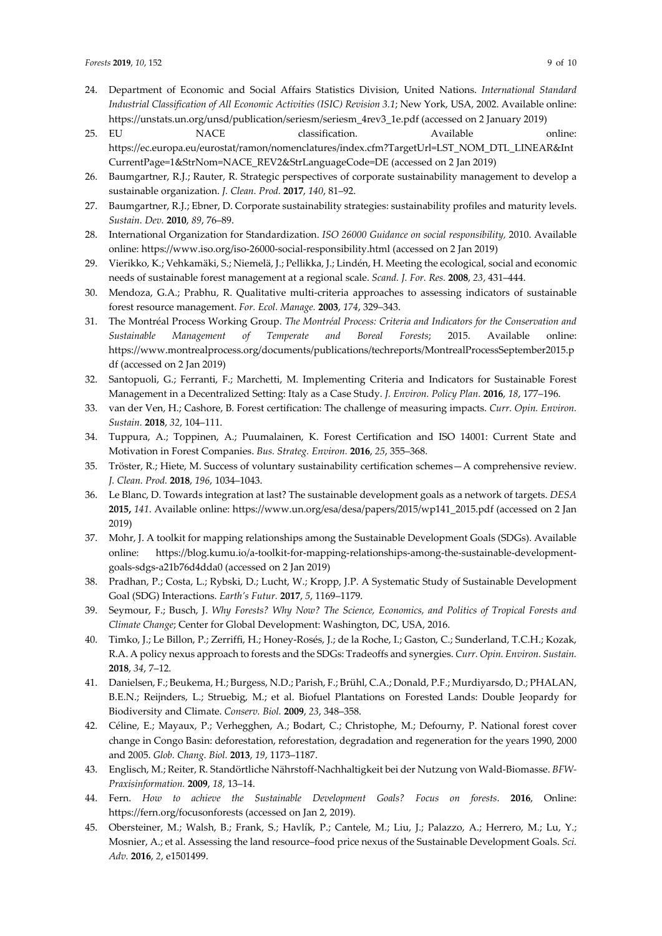- 24. Department of Economic and Social Affairs Statistics Division, United Nations. *International Standard Industrial Classification of All Economic Activities (ISIC) Revision 3.1*; New York, USA, 2002. Available online: https://unstats.un.org/unsd/publication/seriesm/seriesm\_4rev3\_1e.pdf (accessed on 2 January 2019)
- 25. EU NACE classification. Available online: https://ec.europa.eu/eurostat/ramon/nomenclatures/index.cfm?TargetUrl=LST\_NOM\_DTL\_LINEAR&Int CurrentPage=1&StrNom=NACE\_REV2&StrLanguageCode=DE (accessed on 2 Jan 2019)
- 26. Baumgartner, R.J.; Rauter, R. Strategic perspectives of corporate sustainability management to develop a sustainable organization. *J. Clean. Prod.* **2017**, *140*, 81–92.
- 27. Baumgartner, R.J.; Ebner, D. Corporate sustainability strategies: sustainability profiles and maturity levels. *Sustain. Dev.* **2010**, *89*, 76–89.
- 28. International Organization for Standardization. *ISO 26000 Guidance on social responsibility,* 2010. Available online: https://www.iso.org/iso-26000-social-responsibility.html (accessed on 2 Jan 2019)
- 29. Vierikko, K.; Vehkamäki, S.; Niemelä, J.; Pellikka, J.; Lindén, H. Meeting the ecological, social and economic needs of sustainable forest management at a regional scale. *Scand. J. For. Res.* **2008**, *23*, 431–444.
- 30. Mendoza, G.A.; Prabhu, R. Qualitative multi-criteria approaches to assessing indicators of sustainable forest resource management. *For. Ecol. Manage.* **2003**, *174*, 329–343.
- 31. The Montréal Process Working Group. *The Montréal Process: Criteria and Indicators for the Conservation and Sustainable Management of Temperate and Boreal Forests*; 2015. Available online: https://www.montrealprocess.org/documents/publications/techreports/MontrealProcessSeptember2015.p df (accessed on 2 Jan 2019)
- 32. Santopuoli, G.; Ferranti, F.; Marchetti, M. Implementing Criteria and Indicators for Sustainable Forest Management in a Decentralized Setting: Italy as a Case Study. *J. Environ. Policy Plan.* **2016**, *18*, 177–196.
- 33. van der Ven, H.; Cashore, B. Forest certification: The challenge of measuring impacts. *Curr. Opin. Environ. Sustain.* **2018**, *32*, 104–111.
- 34. Tuppura, A.; Toppinen, A.; Puumalainen, K. Forest Certification and ISO 14001: Current State and Motivation in Forest Companies. *Bus. Strateg. Environ.* **2016**, *25*, 355–368.
- 35. Tröster, R.; Hiete, M. Success of voluntary sustainability certification schemes—A comprehensive review. *J. Clean. Prod.* **2018**, *196*, 1034–1043.
- 36. Le Blanc, D. Towards integration at last? The sustainable development goals as a network of targets. *DESA* **2015,** *141*. Available online: https://www.un.org/esa/desa/papers/2015/wp141\_2015.pdf (accessed on 2 Jan 2019)
- 37. Mohr, J. A toolkit for mapping relationships among the Sustainable Development Goals (SDGs). Available online: https://blog.kumu.io/a-toolkit-for-mapping-relationships-among-the-sustainable-developmentgoals-sdgs-a21b76d4dda0 (accessed on 2 Jan 2019)
- 38. Pradhan, P.; Costa, L.; Rybski, D.; Lucht, W.; Kropp, J.P. A Systematic Study of Sustainable Development Goal (SDG) Interactions. *Earth's Futur.* **2017**, *5*, 1169–1179.
- 39. Seymour, F.; Busch, J. *Why Forests? Why Now? The Science, Economics, and Politics of Tropical Forests and Climate Change*; Center for Global Development: Washington, DC, USA, 2016.
- 40. Timko, J.; Le Billon, P.; Zerriffi, H.; Honey-Rosés, J.; de la Roche, I.; Gaston, C.; Sunderland, T.C.H.; Kozak, R.A. A policy nexus approach to forests and the SDGs: Tradeoffs and synergies. *Curr. Opin. Environ. Sustain.* **2018**, *34*, 7–12.
- 41. Danielsen, F.; Beukema, H.; Burgess, N.D.; Parish, F.; Brühl, C.A.; Donald, P.F.; Murdiyarsdo, D.; PHALAN, B.E.N.; Reijnders, L.; Struebig, M.; et al. Biofuel Plantations on Forested Lands: Double Jeopardy for Biodiversity and Climate. *Conserv. Biol.* **2009**, *23*, 348–358.
- 42. Céline, E.; Mayaux, P.; Verhegghen, A.; Bodart, C.; Christophe, M.; Defourny, P. National forest cover change in Congo Basin: deforestation, reforestation, degradation and regeneration for the years 1990, 2000 and 2005. *Glob. Chang. Biol.* **2013**, *19*, 1173–1187.
- 43. Englisch, M.; Reiter, R. Standörtliche Nährstoff-Nachhaltigkeit bei der Nutzung von Wald-Biomasse. *BFW-Praxisinformation.* **2009**, *18*, 13–14.
- 44. Fern. *How to achieve the Sustainable Development Goals? Focus on forests*. **2016**, Online: https://fern.org/focusonforests (accessed on Jan 2, 2019).
- 45. Obersteiner, M.; Walsh, B.; Frank, S.; Havlík, P.; Cantele, M.; Liu, J.; Palazzo, A.; Herrero, M.; Lu, Y.; Mosnier, A.; et al. Assessing the land resource–food price nexus of the Sustainable Development Goals. *Sci. Adv.* **2016**, *2*, e1501499.